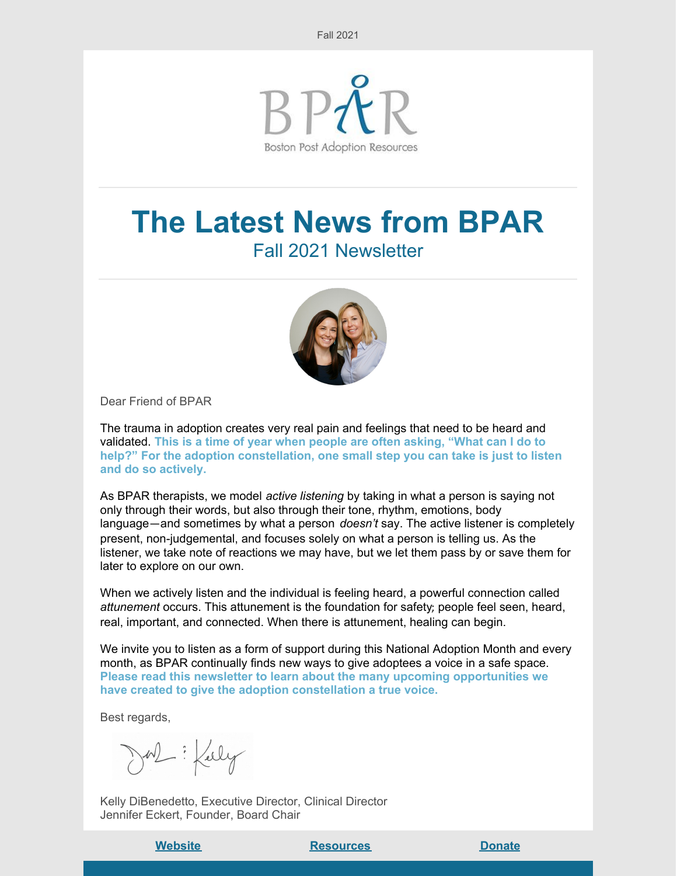

# **The Latest News from BPAR** Fall 2021 Newsletter



Dear Friend of BPAR

The trauma in adoption creates very real pain and feelings that need to be heard and validated. **This is a time of year when people are often asking, "What can I do to help?" For the adoption constellation, one small step you can take is just to listen and do so actively.**

As BPAR therapists, we model *active listening* by taking in what a person is saying not only through their words, but also through their tone, rhythm, emotions, body language—and sometimes by what a person *doesn't* say. The active listener is completely present, non-judgemental, and focuses solely on what a person is telling us. As the listener, we take note of reactions we may have, but we let them pass by or save them for later to explore on our own.

When we actively listen and the individual is feeling heard, a powerful connection called *attunement* occurs. This attunement is the foundation for safety; people feel seen, heard, real, important, and connected. When there is attunement, healing can begin.

We invite you to listen as a form of support during this National Adoption Month and every month, as BPAR continually finds new ways to give adoptees a voice in a safe space. **Please read this newsletter to learn about the many upcoming opportunities we have created to give the adoption constellation a true voice.**

Best regards,

What : Kelly

Kelly DiBenedetto, Executive Director, Clinical Director Jennifer Eckert, Founder, Board Chair

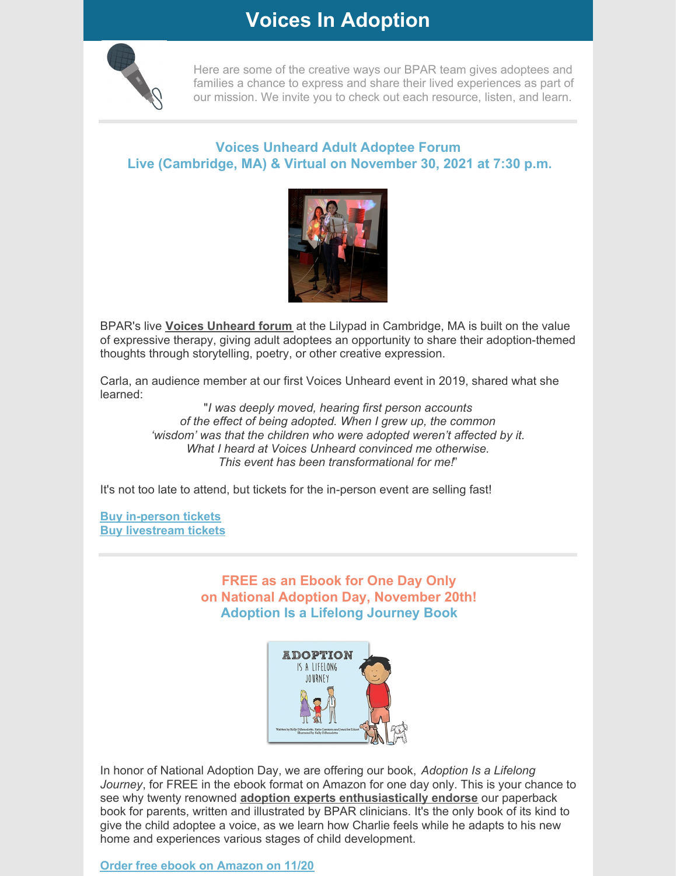### **Voices In Adoption**



Here are some of the creative ways our BPAR team gives adoptees and families a chance to express and share their lived experiences as part of our mission. We invite you to check out each resource, listen, and learn.

#### **Voices Unheard Adult Adoptee Forum Live (Cambridge, MA) & Virtual on November 30, 2021 at 7:30 p.m.**



BPAR's live **Voices [Unheard](https://bpar.org/voices-unheard/) forum** at the Lilypad in Cambridge, MA is built on the value of expressive therapy, giving adult adoptees an opportunity to share their adoption-themed thoughts through storytelling, poetry, or other creative expression.

Carla, an audience member at our first Voices Unheard event in 2019, shared what she learned:

> "*I was deeply moved, hearing first person accounts of the effect of being adopted. When I grew up, the common 'wisdom' was that the children who were adopted weren't affected by it. What I heard at Voices Unheard convinced me otherwise. This event has been transformational for me!*"

It's not too late to attend, but tickets for the in-person event are selling fast!

**Buy [in-person](https://www.eventbrite.com/e/voices-unheard-real-adoptee-stories-in-person-event-tickets-182047417727) tickets Buy [livestream](https://www.eventbrite.com/e/voices-unheard-real-adoptee-stories-livestream-event-tickets-196587417257) tickets**

#### **FREE as an Ebook for One Day Only on National Adoption Day, November 20th! Adoption Is a Lifelong Journey Book**



In honor of National Adoption Day, we are offering our book, *Adoption Is a Lifelong Journey*, for FREE in the ebook format on Amazon for one day only. This is your chance to see why twenty renowned **adoption experts [enthusiastically](https://bpar.org/adoption-is-a-lifelong-journey-book/adoption-lifelong-journey-reviews/) endorse** our paperback book for parents, written and illustrated by BPAR clinicians. It's the only book of its kind to give the child adoptee a voice, as we learn how Charlie feels while he adapts to his new home and experiences various stages of child development.

**Order free ebook on [Amazon](https://www.amazon.com/Adoption-Lifelong-Journey-Kelly-DiBenedetto-ebook/dp/B071DB9BZ7) on 11/20**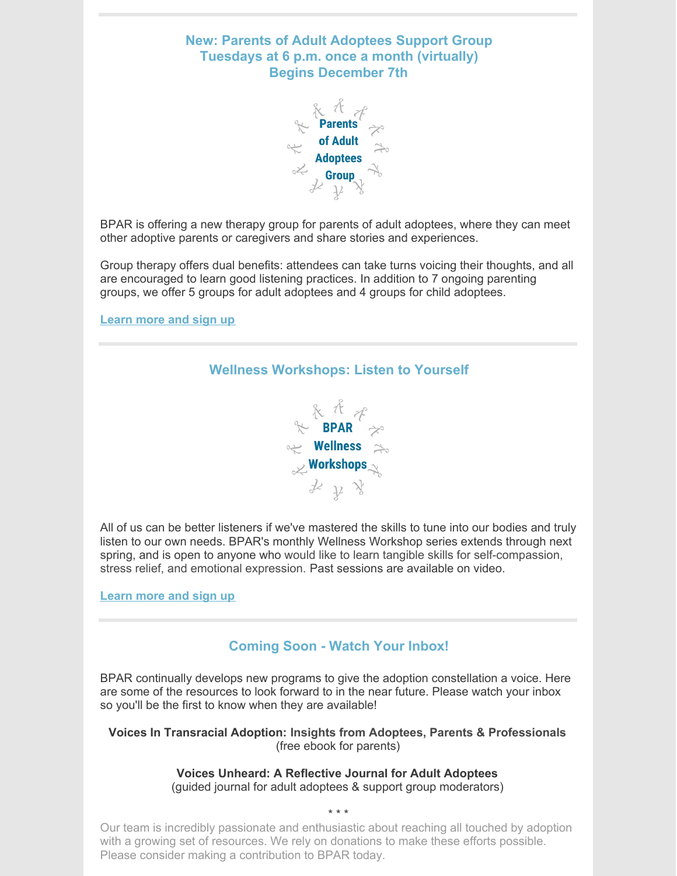



BPAR is offering a new therapy group for parents of adult adoptees, where they can meet other adoptive parents or caregivers and share stories and experiences.

Group therapy offers dual benefits: attendees can take turns voicing their thoughts, and all are encouraged to learn good listening practices. In addition to 7 ongoing parenting groups, we offer 5 groups for adult adoptees and 4 groups for child adoptees.

**[Learn](https://bpar.org/group-therapy/) more and sign up**



All of us can be better listeners if we've mastered the skills to tune into our bodies and truly listen to our own needs. BPAR's monthly Wellness Workshop series extends through next spring, and is open to anyone who would like to learn tangible skills for self-compassion, stress relief, and emotional expression. Past sessions are available on video.

**[Learn](https://bpar.org/group-therapy/) more and sign up**

#### **Coming Soon - Watch Your Inbox!**

BPAR continually develops new programs to give the adoption constellation a voice. Here are some of the resources to look forward to in the near future. Please watch your inbox so you'll be the first to know when they are available!

**Voices In Transracial Adoption: Insights from Adoptees, Parents & Professionals** (free ebook for parents)

> **Voices Unheard: A Reflective Journal for Adult Adoptees** (guided journal for adult adoptees & support group moderators)

> > \* \* \*

Our team is incredibly passionate and enthusiastic about reaching all touched by adoption with a growing set of resources. We rely on donations to make these efforts possible. Please consider making a contribution to BPAR today.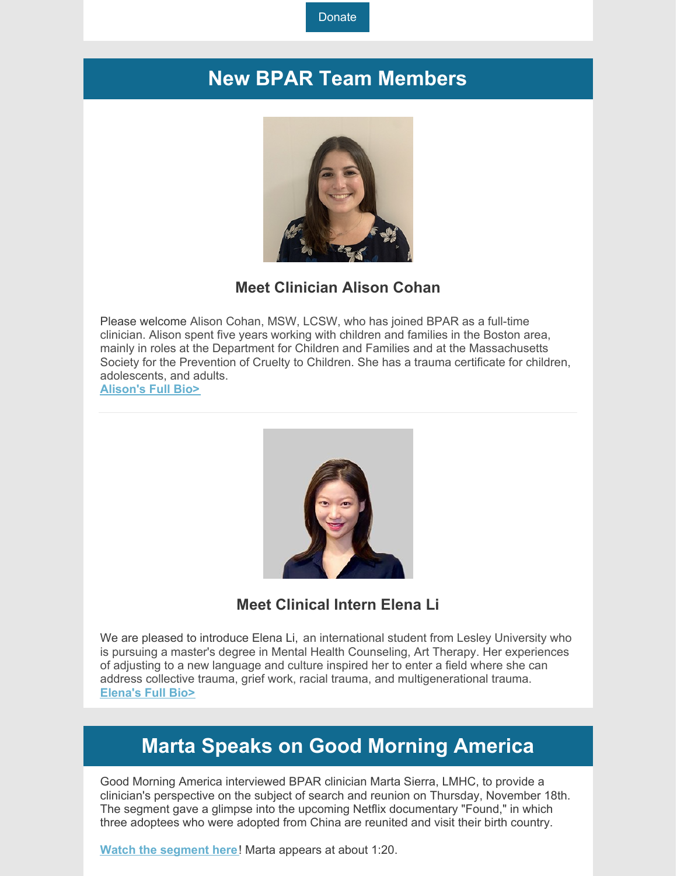**[Donate](https://bpar.org/our-vision/)** 

### **New BPAR Team Members**



**Meet Clinician Alison Cohan**

Please welcome Alison Cohan, MSW, LCSW, who has joined BPAR as a full-time clinician. Alison spent five years working with children and families in the Boston area, mainly in roles at the Department for Children and Families and at the Massachusetts Society for the Prevention of Cruelty to Children. She has a trauma certificate for children, adolescents, and adults. **[Alison's](https://bpar.org/about-boston-post-adoption-resources/bpar-team/) Full Bio>**

**Meet Clinical Intern Elena Li**

We are pleased to introduce Elena Li, an international student from Lesley University who is pursuing a master's degree in Mental Health Counseling, Art Therapy. Her experiences of adjusting to a new language and culture inspired her to enter a field where she can address collective trauma, grief work, racial trauma, and multigenerational trauma. **[Elena's](https://bpar.org/about-boston-post-adoption-resources/bpar-team/) Full Bio>**

### **Marta Speaks on Good Morning America**

Good Morning America interviewed BPAR clinician Marta Sierra, LMHC, to provide a clinician's perspective on the subject of search and reunion on Thursday, November 18th. The segment gave a glimpse into the upcoming Netflix documentary "Found," in which three adoptees who were adopted from China are reunited and visit their birth country.

**Watch the [segment](https://www.goodmorningamerica.com/family/video/documentary-found-explores-origins-adopted-children-81250284) here**! Marta appears at about 1:20.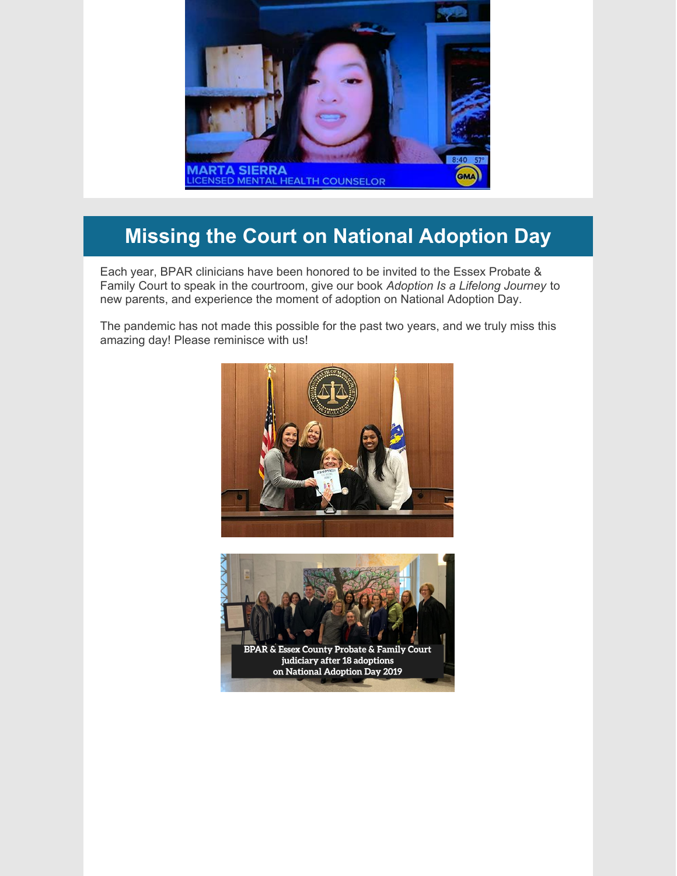

## **Missing the Court on National Adoption Day**

Each year, BPAR clinicians have been honored to be invited to the Essex Probate & Family Court to speak in the courtroom, give our book *Adoption Is a Lifelong Journey* to new parents, and experience the moment of adoption on National Adoption Day.

The pandemic has not made this possible for the past two years, and we truly miss this amazing day! Please reminisce with us!